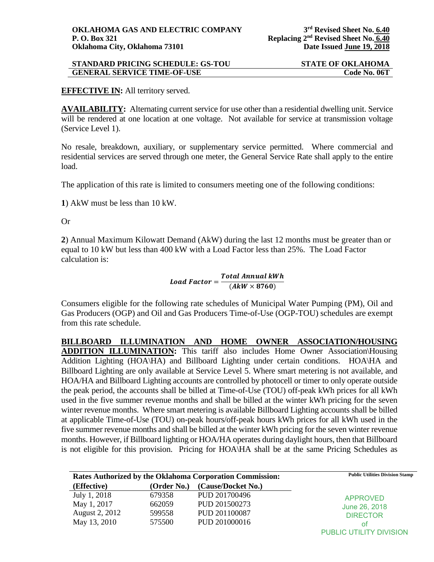## **STANDARD PRICING SCHEDULE: GS-TOU STATE OF OKLAHOMA GENERAL SERVICE TIME-OF-USE Code No. 06T**

## **EFFECTIVE IN:** All territory served.

**AVAILABILITY:** Alternating current service for use other than a residential dwelling unit. Service will be rendered at one location at one voltage. Not available for service at transmission voltage (Service Level 1).

No resale, breakdown, auxiliary, or supplementary service permitted. Where commercial and residential services are served through one meter, the General Service Rate shall apply to the entire load.

The application of this rate is limited to consumers meeting one of the following conditions:

**1**) AkW must be less than 10 kW.

Or

**2**) Annual Maximum Kilowatt Demand (AkW) during the last 12 months must be greater than or equal to 10 kW but less than 400 kW with a Load Factor less than 25%. The Load Factor calculation is:

# Load Factor =  $\frac{Total \, Annual \, kWh}{(A k W \times 8760)}$

Consumers eligible for the following rate schedules of Municipal Water Pumping (PM), Oil and Gas Producers (OGP) and Oil and Gas Producers Time-of-Use (OGP-TOU) schedules are exempt from this rate schedule.

**BILLBOARD ILLUMINATION AND HOME OWNER ASSOCIATION/HOUSING ADDITION ILLUMINATION:** This tariff also includes Home Owner Association\Housing Addition Lighting (HOA\HA) and Billboard Lighting under certain conditions. HOA\HA and Billboard Lighting are only available at Service Level 5. Where smart metering is not available, and HOA/HA and Billboard Lighting accounts are controlled by photocell or timer to only operate outside the peak period, the accounts shall be billed at Time-of-Use (TOU) off-peak kWh prices for all kWh used in the five summer revenue months and shall be billed at the winter kWh pricing for the seven winter revenue months. Where smart metering is available Billboard Lighting accounts shall be billed at applicable Time-of-Use (TOU) on-peak hours/off-peak hours kWh prices for all kWh used in the five summer revenue months and shall be billed at the winter kWh pricing for the seven winter revenue months. However, if Billboard lighting or HOA/HA operates during daylight hours, then that Billboard is not eligible for this provision. Pricing for HOA\HA shall be at the same Pricing Schedules as

| <b>Rates Authorized by the Oklahoma Corporation Commission:</b> |             |                    | <b>Public Utilities Division Stamp</b> |
|-----------------------------------------------------------------|-------------|--------------------|----------------------------------------|
| (Effective)                                                     | (Order No.) | (Cause/Docket No.) |                                        |
| July 1, 2018                                                    | 679358      | PUD 201700496      | <b>APPROVED</b>                        |
| May 1, 2017                                                     | 662059      | PUD 201500273      | June 26, 2018                          |
| <b>August 2, 2012</b>                                           | 599558      | PUD 201100087      | <b>DIRECTOR</b>                        |
| May 13, 2010                                                    | 575500      | PUD 201000016      | οt                                     |
|                                                                 |             |                    | PUBLIC UTILITY DIVISION                |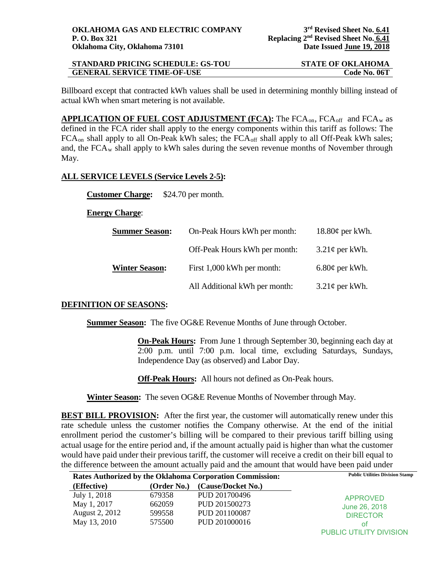| <b>STANDARD PRICING SCHEDULE: GS-TOU</b> | <b>STATE OF OKLAHOMA</b> |
|------------------------------------------|--------------------------|
| <b>GENERAL SERVICE TIME-OF-USE</b>       | Code No. 06T             |

Billboard except that contracted kWh values shall be used in determining monthly billing instead of actual kWh when smart metering is not available.

APPLICATION OF FUEL COST ADJUSTMENT (FCA): The FCA<sub>on</sub>, FCA<sub>off</sub> and FCA<sub>w</sub> as defined in the FCA rider shall apply to the energy components within this tariff as follows: The FCA<sub>on</sub> shall apply to all On-Peak kWh sales; the FCA<sub>off</sub> shall apply to all Off-Peak kWh sales; and, the  $FCA_w$  shall apply to kWh sales during the seven revenue months of November through May.

## **ALL SERVICE LEVELS (Service Levels 2-5):**

**Customer Charge:** \$24.70 per month.

#### **Energy Charge**:

| <b>Summer Season:</b> | On-Peak Hours kWh per month:  | $18.80\phi$ per kWh. |
|-----------------------|-------------------------------|----------------------|
|                       | Off-Peak Hours kWh per month: | $3.21\phi$ per kWh.  |
| <b>Winter Season:</b> | First 1,000 kWh per month:    | $6.80¢$ per kWh.     |
|                       | All Additional kWh per month: | $3.21\phi$ per kWh.  |

## **DEFINITION OF SEASONS:**

**Summer Season:** The five OG&E Revenue Months of June through October.

**On-Peak Hours:** From June 1 through September 30, beginning each day at 2:00 p.m. until 7:00 p.m. local time, excluding Saturdays, Sundays, Independence Day (as observed) and Labor Day.

**Off-Peak Hours:** All hours not defined as On-Peak hours.

**Winter Season:** The seven OG&E Revenue Months of November through May.

**BEST BILL PROVISION:** After the first year, the customer will automatically renew under this rate schedule unless the customer notifies the Company otherwise. At the end of the initial enrollment period the customer's billing will be compared to their previous tariff billing using actual usage for the entire period and, if the amount actually paid is higher than what the customer would have paid under their previous tariff, the customer will receive a credit on their bill equal to the difference between the amount actually paid and the amount that would have been paid under

| Rates Authorized by the Oklahoma Corporation Commission: |             | <b>Public Utilities Division Stamp</b> |                         |
|----------------------------------------------------------|-------------|----------------------------------------|-------------------------|
| (Effective)                                              | (Order No.) | (Cause/Docket No.)                     |                         |
| July 1, 2018                                             | 679358      | PUD 201700496                          | APPROVED                |
| May 1, 2017                                              | 662059      | PUD 201500273                          | June 26, 2018           |
| August 2, 2012                                           | 599558      | PUD 201100087                          | <b>DIRECTOR</b>         |
| May 13, 2010                                             | 575500      | PUD 201000016                          | ΩŤ                      |
|                                                          |             |                                        | PUBLIC UTILITY DIVISION |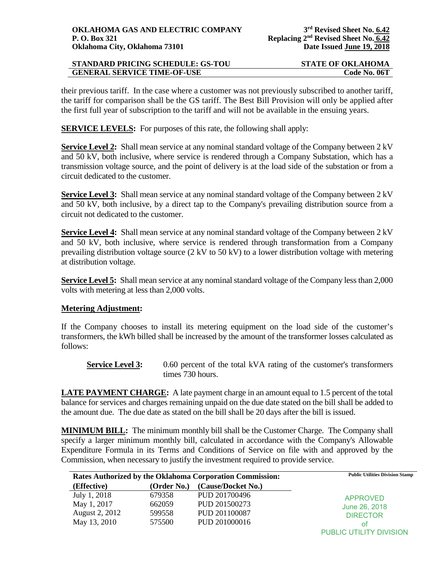| <b>STANDARD PRICING SCHEDULE: GS-TOU</b> | <b>STATE OF OKLAHOMA</b> |
|------------------------------------------|--------------------------|
| <b>GENERAL SERVICE TIME-OF-USE</b>       | Code No. 06T             |

their previous tariff. In the case where a customer was not previously subscribed to another tariff, the tariff for comparison shall be the GS tariff. The Best Bill Provision will only be applied after the first full year of subscription to the tariff and will not be available in the ensuing years.

**SERVICE LEVELS:** For purposes of this rate, the following shall apply:

**Service Level 2:** Shall mean service at any nominal standard voltage of the Company between 2 kV and 50 kV, both inclusive, where service is rendered through a Company Substation, which has a transmission voltage source, and the point of delivery is at the load side of the substation or from a circuit dedicated to the customer.

**Service Level 3:** Shall mean service at any nominal standard voltage of the Company between 2 kV and 50 kV, both inclusive, by a direct tap to the Company's prevailing distribution source from a circuit not dedicated to the customer.

**Service Level 4:** Shall mean service at any nominal standard voltage of the Company between 2 kV and 50 kV, both inclusive, where service is rendered through transformation from a Company prevailing distribution voltage source (2 kV to 50 kV) to a lower distribution voltage with metering at distribution voltage.

**Service Level 5:** Shall mean service at any nominal standard voltage of the Company less than 2,000 volts with metering at less than 2,000 volts.

#### **Metering Adjustment:**

If the Company chooses to install its metering equipment on the load side of the customer's transformers, the kWh billed shall be increased by the amount of the transformer losses calculated as follows:

**Service Level 3:** 0.60 percent of the total kVA rating of the customer's transformers times 730 hours.

**LATE PAYMENT CHARGE:** A late payment charge in an amount equal to 1.5 percent of the total balance for services and charges remaining unpaid on the due date stated on the bill shall be added to the amount due. The due date as stated on the bill shall be 20 days after the bill is issued.

**MINIMUM BILL:** The minimum monthly bill shall be the Customer Charge. The Company shall specify a larger minimum monthly bill, calculated in accordance with the Company's Allowable Expenditure Formula in its Terms and Conditions of Service on file with and approved by the Commission, when necessary to justify the investment required to provide service.

| Rates Authorized by the Oklahoma Corporation Commission: |             |                    | <b>Public Utilities Division Stamp</b> |
|----------------------------------------------------------|-------------|--------------------|----------------------------------------|
| (Effective)                                              | (Order No.) | (Cause/Docket No.) |                                        |
| July 1, 2018                                             | 679358      | PUD 201700496      | <b>APPROVED</b>                        |
| May 1, 2017                                              | 662059      | PUD 201500273      | June 26, 2018                          |
| August 2, 2012                                           | 599558      | PUD 201100087      | <b>DIRECTOR</b>                        |
| May 13, 2010                                             | 575500      | PUD 201000016      | οt                                     |
|                                                          |             |                    | PUBLIC UTILITY DIVISION                |